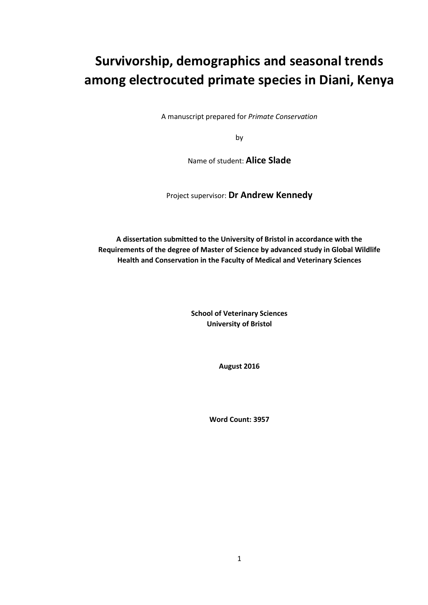# **Survivorship, demographics and seasonal trends among electrocuted primate species in Diani, Kenya**

A manuscript prepared for *Primate Conservation*

by

Name of student: **Alice Slade**

Project supervisor: **Dr Andrew Kennedy**

**A dissertation submitted to the University of Bristol in accordance with the Requirements of the degree of Master of Science by advanced study in Global Wildlife Health and Conservation in the Faculty of Medical and Veterinary Sciences**

> **School of Veterinary Sciences University of Bristol**

> > **August 2016**

**Word Count: 3957**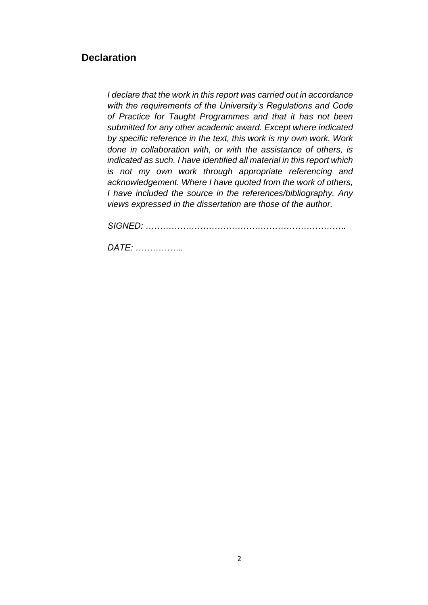## **Declaration**

*I declare that the work in this report was carried out in accordance with the requirements of the University's Regulations and Code of Practice for Taught Programmes and that it has not been submitted for any other academic award. Except where indicated by specific reference in the text, this work is my own work. Work done in collaboration with, or with the assistance of others, is indicated as such. I have identified all material in this report which is not my own work through appropriate referencing and acknowledgement. Where I have quoted from the work of others, I have included the source in the references/bibliography. Any views expressed in the dissertation are those of the author.* 

*SIGNED: …………………………………………………………….* 

*DATE: ……………..*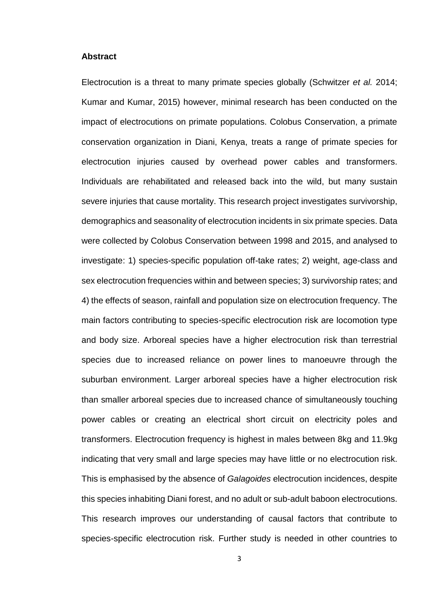#### **Abstract**

Electrocution is a threat to many primate species globally (Schwitzer *et al.* 2014; Kumar and Kumar, 2015) however, minimal research has been conducted on the impact of electrocutions on primate populations. Colobus Conservation, a primate conservation organization in Diani, Kenya, treats a range of primate species for electrocution injuries caused by overhead power cables and transformers. Individuals are rehabilitated and released back into the wild, but many sustain severe injuries that cause mortality. This research project investigates survivorship, demographics and seasonality of electrocution incidents in six primate species. Data were collected by Colobus Conservation between 1998 and 2015, and analysed to investigate: 1) species-specific population off-take rates; 2) weight, age-class and sex electrocution frequencies within and between species; 3) survivorship rates; and 4) the effects of season, rainfall and population size on electrocution frequency. The main factors contributing to species-specific electrocution risk are locomotion type and body size. Arboreal species have a higher electrocution risk than terrestrial species due to increased reliance on power lines to manoeuvre through the suburban environment. Larger arboreal species have a higher electrocution risk than smaller arboreal species due to increased chance of simultaneously touching power cables or creating an electrical short circuit on electricity poles and transformers. Electrocution frequency is highest in males between 8kg and 11.9kg indicating that very small and large species may have little or no electrocution risk. This is emphasised by the absence of *Galagoides* electrocution incidences, despite this species inhabiting Diani forest, and no adult or sub-adult baboon electrocutions. This research improves our understanding of causal factors that contribute to species-specific electrocution risk. Further study is needed in other countries to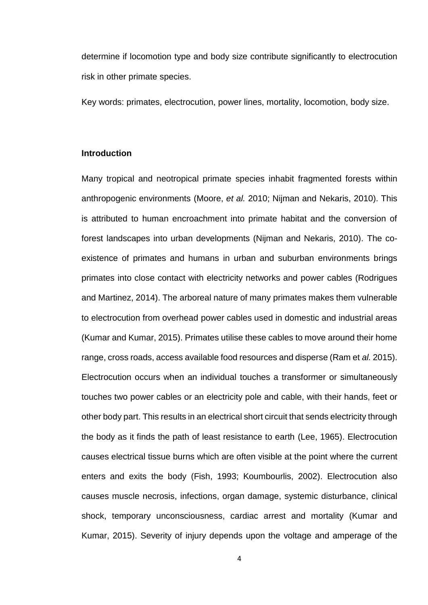determine if locomotion type and body size contribute significantly to electrocution risk in other primate species.

Key words: primates, electrocution, power lines, mortality, locomotion, body size.

## **Introduction**

Many tropical and neotropical primate species inhabit fragmented forests within anthropogenic environments (Moore, *et al.* 2010; Nijman and Nekaris, 2010). This is attributed to human encroachment into primate habitat and the conversion of forest landscapes into urban developments (Nijman and Nekaris, 2010). The coexistence of primates and humans in urban and suburban environments brings primates into close contact with electricity networks and power cables (Rodrigues and Martinez, 2014). The arboreal nature of many primates makes them vulnerable to electrocution from overhead power cables used in domestic and industrial areas (Kumar and Kumar, 2015). Primates utilise these cables to move around their home range, cross roads, access available food resources and disperse (Ram et *al.* 2015). Electrocution occurs when an individual touches a transformer or simultaneously touches two power cables or an electricity pole and cable, with their hands, feet or other body part. This results in an electrical short circuit that sends electricity through the body as it finds the path of least resistance to earth (Lee, 1965). Electrocution causes electrical tissue burns which are often visible at the point where the current enters and exits the body (Fish, 1993; Koumbourlis, 2002). Electrocution also causes muscle necrosis, infections, organ damage, systemic disturbance, clinical shock, temporary unconsciousness, cardiac arrest and mortality (Kumar and Kumar, 2015). Severity of injury depends upon the voltage and amperage of the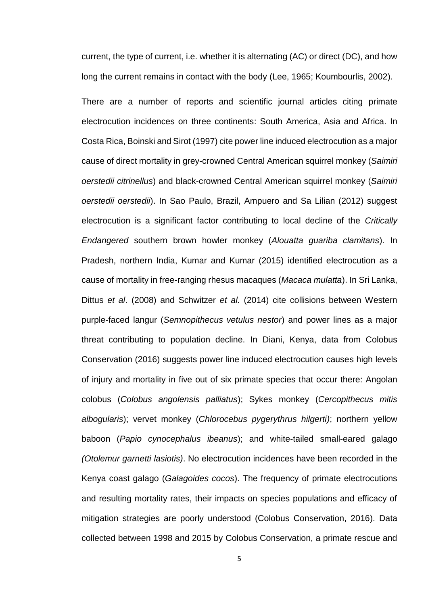current, the type of current, i.e. whether it is alternating (AC) or direct (DC), and how long the current remains in contact with the body (Lee, 1965; Koumbourlis, 2002).

There are a number of reports and scientific journal articles citing primate electrocution incidences on three continents: South America, Asia and Africa. In Costa Rica, Boinski and Sirot (1997) cite power line induced electrocution as a major cause of direct mortality in grey-crowned Central American squirrel monkey (*Saimiri oerstedii citrinellus*) and black-crowned Central American squirrel monkey (*Saimiri oerstedii oerstedii*). In Sao Paulo, Brazil, Ampuero and Sa Lilian (2012) suggest electrocution is a significant factor contributing to local decline of the *Critically Endangered* southern brown howler monkey (*Alouatta guariba clamitans*). In Pradesh, northern India, Kumar and Kumar (2015) identified electrocution as a cause of mortality in free-ranging rhesus macaques (*Macaca mulatta*). In Sri Lanka, Dittus *et al*. (2008) and Schwitzer *et al.* (2014) cite collisions between Western purple-faced langur (*Semnopithecus vetulus nestor*) and power lines as a major threat contributing to population decline. In Diani, Kenya, data from Colobus Conservation (2016) suggests power line induced electrocution causes high levels of injury and mortality in five out of six primate species that occur there: Angolan colobus (*Colobus angolensis palliatus*); Sykes monkey (*Cercopithecus mitis albogularis*); vervet monkey (*Chlorocebus pygerythrus hilgerti)*; northern yellow baboon (*Papio cynocephalus ibeanus*); and white-tailed small-eared galago *(Otolemur garnetti lasiotis)*. No electrocution incidences have been recorded in the Kenya coast galago (*Galagoides cocos*). The frequency of primate electrocutions and resulting mortality rates, their impacts on species populations and efficacy of mitigation strategies are poorly understood (Colobus Conservation, 2016). Data collected between 1998 and 2015 by Colobus Conservation, a primate rescue and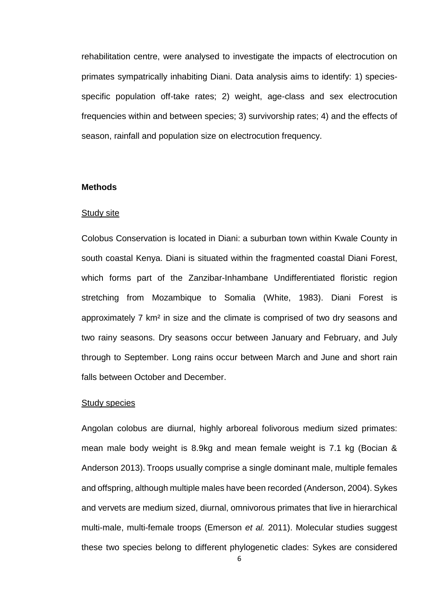rehabilitation centre, were analysed to investigate the impacts of electrocution on primates sympatrically inhabiting Diani. Data analysis aims to identify: 1) speciesspecific population off-take rates; 2) weight, age-class and sex electrocution frequencies within and between species; 3) survivorship rates; 4) and the effects of season, rainfall and population size on electrocution frequency.

## **Methods**

#### Study site

Colobus Conservation is located in Diani: a suburban town within Kwale County in south coastal Kenya. Diani is situated within the fragmented coastal Diani Forest, which forms part of the Zanzibar-Inhambane Undifferentiated floristic region stretching from Mozambique to Somalia (White, 1983). Diani Forest is approximately 7 km² in size and the climate is comprised of two dry seasons and two rainy seasons. Dry seasons occur between January and February, and July through to September. Long rains occur between March and June and short rain falls between October and December.

#### Study species

Angolan colobus are diurnal, highly arboreal folivorous medium sized primates: mean male body weight is 8.9kg and mean female weight is 7.1 kg (Bocian & Anderson 2013). Troops usually comprise a single dominant male, multiple females and offspring, although multiple males have been recorded (Anderson, 2004). Sykes and vervets are medium sized, diurnal, omnivorous primates that live in hierarchical multi-male, multi-female troops (Emerson *et al.* 2011). Molecular studies suggest these two species belong to different phylogenetic clades: Sykes are considered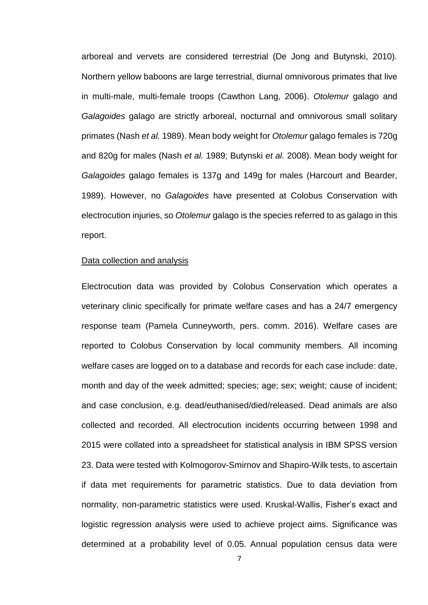arboreal and vervets are considered terrestrial (De Jong and Butynski, 2010). Northern yellow baboons are large terrestrial, diurnal omnivorous primates that live in multi-male, multi-female troops (Cawthon Lang, 2006). *Otolemur* galago and *Galagoides* galago are strictly arboreal, nocturnal and omnivorous small solitary primates (Nash *et al.* 1989). Mean body weight for *Otolemur* galago females is 720g and 820g for males (Nash *et al.* 1989; Butynski *et al.* 2008). Mean body weight for *Galagoides* galago females is 137g and 149g for males (Harcourt and Bearder, 1989). However, no *Galagoides* have presented at Colobus Conservation with electrocution injuries, so *Otolemur* galago is the species referred to as galago in this report.

## Data collection and analysis

Electrocution data was provided by Colobus Conservation which operates a veterinary clinic specifically for primate welfare cases and has a 24/7 emergency response team (Pamela Cunneyworth, pers. comm. 2016). Welfare cases are reported to Colobus Conservation by local community members. All incoming welfare cases are logged on to a database and records for each case include: date, month and day of the week admitted; species; age; sex; weight; cause of incident; and case conclusion, e.g. dead/euthanised/died/released. Dead animals are also collected and recorded. All electrocution incidents occurring between 1998 and 2015 were collated into a spreadsheet for statistical analysis in IBM SPSS version 23. Data were tested with Kolmogorov-Smirnov and Shapiro-Wilk tests, to ascertain if data met requirements for parametric statistics. Due to data deviation from normality, non-parametric statistics were used. Kruskal-Wallis, Fisher's exact and logistic regression analysis were used to achieve project aims. Significance was determined at a probability level of 0.05. Annual population census data were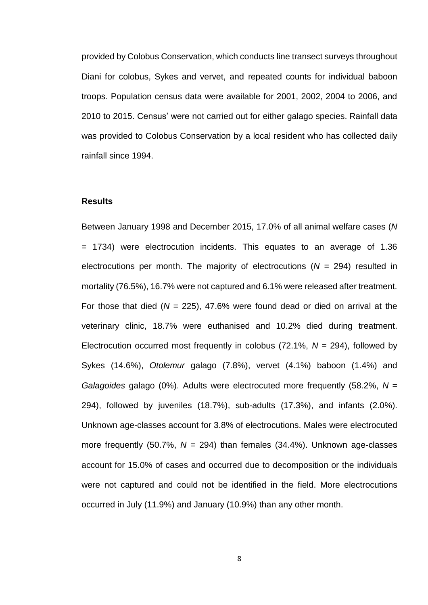provided by Colobus Conservation, which conducts line transect surveys throughout Diani for colobus, Sykes and vervet, and repeated counts for individual baboon troops. Population census data were available for 2001, 2002, 2004 to 2006, and 2010 to 2015. Census' were not carried out for either galago species. Rainfall data was provided to Colobus Conservation by a local resident who has collected daily rainfall since 1994.

## **Results**

Between January 1998 and December 2015, 17.0% of all animal welfare cases (*N* = 1734) were electrocution incidents. This equates to an average of 1.36 electrocutions per month. The majority of electrocutions (*N* = 294) resulted in mortality (76.5%), 16.7% were not captured and 6.1% were released after treatment. For those that died (*N* = 225), 47.6% were found dead or died on arrival at the veterinary clinic, 18.7% were euthanised and 10.2% died during treatment. Electrocution occurred most frequently in colobus (72.1%, *N* = 294), followed by Sykes (14.6%), *Otolemur* galago (7.8%), vervet (4.1%) baboon (1.4%) and *Galagoides* galago (0%). Adults were electrocuted more frequently (58.2%, *N* = 294), followed by juveniles (18.7%), sub-adults (17.3%), and infants (2.0%). Unknown age-classes account for 3.8% of electrocutions. Males were electrocuted more frequently (50.7%, *N* = 294) than females (34.4%). Unknown age-classes account for 15.0% of cases and occurred due to decomposition or the individuals were not captured and could not be identified in the field. More electrocutions occurred in July (11.9%) and January (10.9%) than any other month.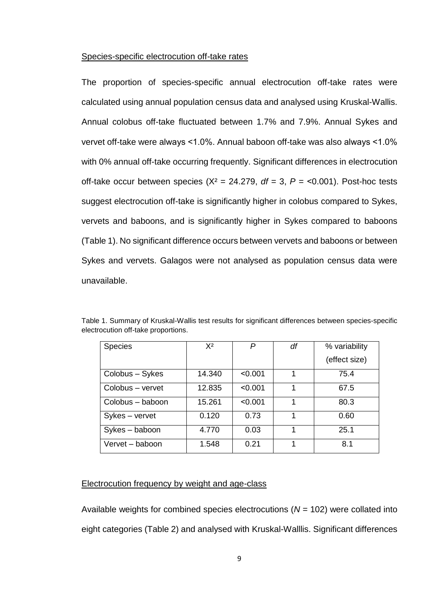#### Species-specific electrocution off-take rates

The proportion of species-specific annual electrocution off-take rates were calculated using annual population census data and analysed using Kruskal-Wallis. Annual colobus off-take fluctuated between 1.7% and 7.9%. Annual Sykes and vervet off-take were always ˂1.0%. Annual baboon off-take was also always ˂1.0% with 0% annual off-take occurring frequently. Significant differences in electrocution off-take occur between species  $(X^2 = 24.279, df = 3, P = 0.001)$ . Post-hoc tests suggest electrocution off-take is significantly higher in colobus compared to Sykes, vervets and baboons, and is significantly higher in Sykes compared to baboons (Table 1). No significant difference occurs between vervets and baboons or between Sykes and vervets. Galagos were not analysed as population census data were unavailable.

| <b>Species</b>   | $X^2$  | P       | df | % variability |
|------------------|--------|---------|----|---------------|
|                  |        |         |    | (effect size) |
| Colobus - Sykes  | 14.340 | < 0.001 | 1  | 75.4          |
| Colobus - vervet | 12.835 | < 0.001 | 1  | 67.5          |
| Colobus – baboon | 15.261 | < 0.001 | 1  | 80.3          |
| Sykes – vervet   | 0.120  | 0.73    | 1  | 0.60          |
| Sykes - baboon   | 4.770  | 0.03    | 1  | 25.1          |
| Vervet – baboon  | 1.548  | 0.21    | 1  | 8.1           |

Table 1. Summary of Kruskal-Wallis test results for significant differences between species-specific electrocution off-take proportions.

## Electrocution frequency by weight and age-class

Available weights for combined species electrocutions (*N* = 102) were collated into eight categories (Table 2) and analysed with Kruskal-Walllis. Significant differences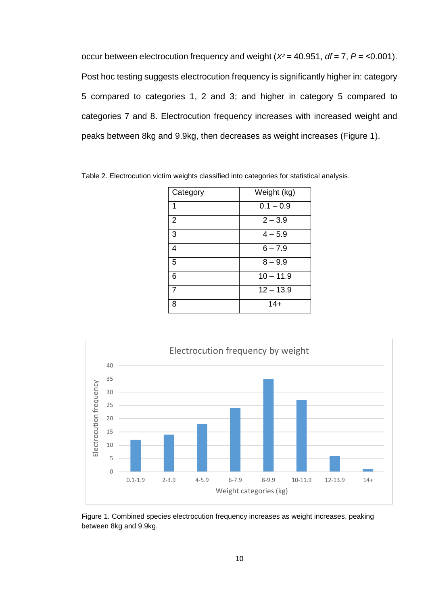occur between electrocution frequency and weight (*X²* = 40.951, *df* = 7, *P* = ˂0.001). Post hoc testing suggests electrocution frequency is significantly higher in: category 5 compared to categories 1, 2 and 3; and higher in category 5 compared to categories 7 and 8. Electrocution frequency increases with increased weight and peaks between 8kg and 9.9kg, then decreases as weight increases (Figure 1).

| Category       | Weight (kg) |
|----------------|-------------|
| 1              | $0.1 - 0.9$ |
| $\overline{2}$ | $2 - 3.9$   |
| 3              | $4 - 5.9$   |
| 4              | $6 - 7.9$   |
| 5              | $8 - 9.9$   |
| 6              | $10 - 11.9$ |
|                | $12 - 13.9$ |
| 8              | $14+$       |

Table 2. Electrocution victim weights classified into categories for statistical analysis.



Figure 1. Combined species electrocution frequency increases as weight increases, peaking between 8kg and 9.9kg.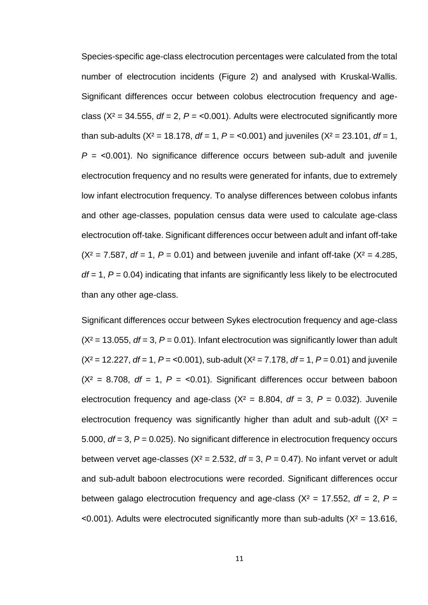Species-specific age-class electrocution percentages were calculated from the total number of electrocution incidents (Figure 2) and analysed with Kruskal-Wallis. Significant differences occur between colobus electrocution frequency and ageclass ( $X^2$  = 34.555,  $df = 2$ ,  $P = 0.001$ ). Adults were electrocuted significantly more than sub-adults (X² = 18.178, *df* = 1, *P* = ˂0.001) and juveniles (X² = 23.101, *df* = 1, *P* = ˂0.001). No significance difference occurs between sub-adult and juvenile electrocution frequency and no results were generated for infants, due to extremely low infant electrocution frequency. To analyse differences between colobus infants and other age-classes, population census data were used to calculate age-class electrocution off-take. Significant differences occur between adult and infant off-take  $(X^2 = 7.587, df = 1, P = 0.01)$  and between juvenile and infant off-take  $(X^2 = 4.285,$ *df* = 1, *P* = 0.04) indicating that infants are significantly less likely to be electrocuted than any other age-class.

Significant differences occur between Sykes electrocution frequency and age-class  $(X^2 = 13.055, df = 3, P = 0.01)$ . Infant electrocution was significantly lower than adult  $(X^2 = 12.227, df = 1, P = 0.001)$ , sub-adult  $(X^2 = 7.178, df = 1, P = 0.01)$  and juvenile  $(X^2 = 8.708$ ,  $df = 1$ ,  $P = 50.01$ . Significant differences occur between baboon electrocution frequency and age-class ( $X^2 = 8.804$ ,  $df = 3$ ,  $P = 0.032$ ). Juvenile electrocution frequency was significantly higher than adult and sub-adult  $(X^2 =$ 5.000, *df* = 3, *P* = 0.025). No significant difference in electrocution frequency occurs between vervet age-classes  $(X^2 = 2.532, df = 3, P = 0.47)$ . No infant vervet or adult and sub-adult baboon electrocutions were recorded. Significant differences occur between galago electrocution frequency and age-class ( $X^2 = 17.552$ , *df* = 2, *P* =  $\leq$  0.001). Adults were electrocuted significantly more than sub-adults ( $X^2$  = 13.616,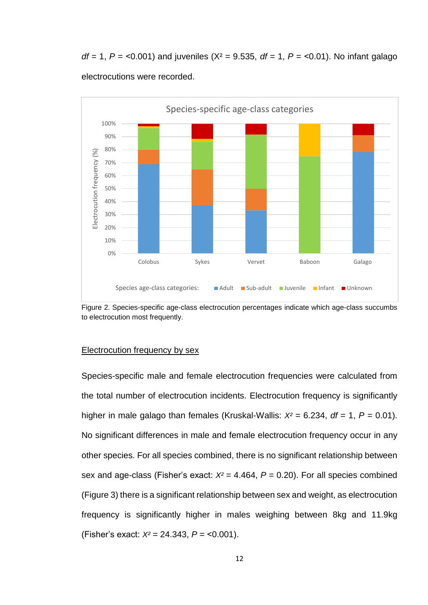*df* = 1, *P* = ˂0.001) and juveniles (X² = 9.535, *df* = 1, *P* = ˂0.01). No infant galago electrocutions were recorded.



Figure 2. Species-specific age-class electrocution percentages indicate which age-class succumbs to electrocution most frequently.

## Electrocution frequency by sex

Species-specific male and female electrocution frequencies were calculated from the total number of electrocution incidents. Electrocution frequency is significantly higher in male galago than females (Kruskal-Wallis:  $X^2 = 6.234$ ,  $df = 1$ ,  $P = 0.01$ ). No significant differences in male and female electrocution frequency occur in any other species. For all species combined, there is no significant relationship between sex and age-class (Fisher's exact: *X²* = 4.464, *P* = 0.20). For all species combined (Figure 3) there is a significant relationship between sex and weight, as electrocution frequency is significantly higher in males weighing between 8kg and 11.9kg (Fisher's exact: *X²* = 24.343, *P* = ˂0.001).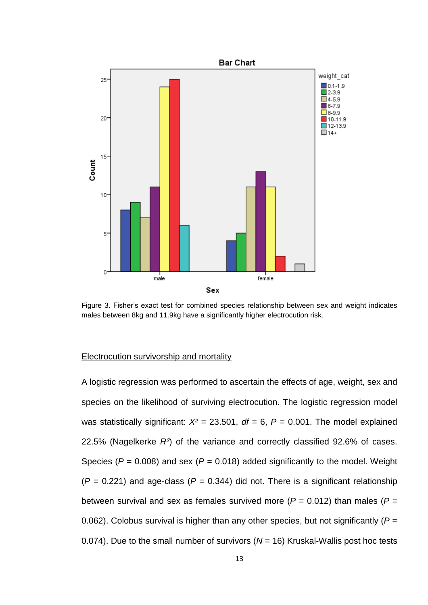

Figure 3. Fisher's exact test for combined species relationship between sex and weight indicates males between 8kg and 11.9kg have a significantly higher electrocution risk.

#### Electrocution survivorship and mortality

A logistic regression was performed to ascertain the effects of age, weight, sex and species on the likelihood of surviving electrocution. The logistic regression model was statistically significant:  $X^2 = 23.501$ ,  $df = 6$ ,  $P = 0.001$ . The model explained 22.5% (Nagelkerke *R²*) of the variance and correctly classified 92.6% of cases. Species ( $P = 0.008$ ) and sex ( $P = 0.018$ ) added significantly to the model. Weight  $(P = 0.221)$  and age-class  $(P = 0.344)$  did not. There is a significant relationship between survival and sex as females survived more  $(P = 0.012)$  than males  $(P = 0.012)$ 0.062). Colobus survival is higher than any other species, but not significantly (*P* = 0.074). Due to the small number of survivors (*N* = 16) Kruskal-Wallis post hoc tests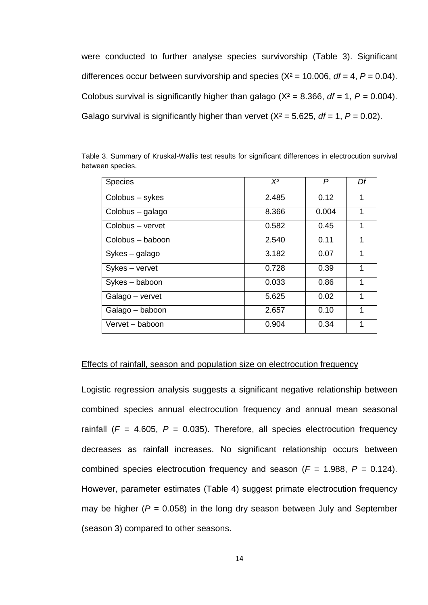were conducted to further analyse species survivorship (Table 3). Significant differences occur between survivorship and species  $(X^2 = 10.006, df = 4, P = 0.04)$ . Colobus survival is significantly higher than galago ( $X^2 = 8.366$ ,  $df = 1$ ,  $P = 0.004$ ). Galago survival is significantly higher than vervet  $(X^2 = 5.625, df = 1, P = 0.02)$ .

| <b>Species</b>   | $X^2$ | P     | Df |
|------------------|-------|-------|----|
| Colobus - sykes  | 2.485 | 0.12  | 1  |
| Colobus - galago | 8.366 | 0.004 | 1  |
| Colobus - vervet | 0.582 | 0.45  | 1  |
| Colobus – baboon | 2.540 | 0.11  | 1  |
| Sykes – galago   | 3.182 | 0.07  | 1  |
| Sykes - vervet   | 0.728 | 0.39  | 1  |
| Sykes - baboon   | 0.033 | 0.86  | 1  |
| Galago – vervet  | 5.625 | 0.02  | 1  |
| Galago - baboon  | 2.657 | 0.10  | 1  |
| Vervet – baboon  | 0.904 | 0.34  | 1  |

Table 3. Summary of Kruskal-Wallis test results for significant differences in electrocution survival between species.

#### Effects of rainfall, season and population size on electrocution frequency

Logistic regression analysis suggests a significant negative relationship between combined species annual electrocution frequency and annual mean seasonal rainfall  $(F = 4.605, P = 0.035)$ . Therefore, all species electrocution frequency decreases as rainfall increases. No significant relationship occurs between combined species electrocution frequency and season ( $F = 1.988$ ,  $P = 0.124$ ). However, parameter estimates (Table 4) suggest primate electrocution frequency may be higher ( $P = 0.058$ ) in the long dry season between July and September (season 3) compared to other seasons.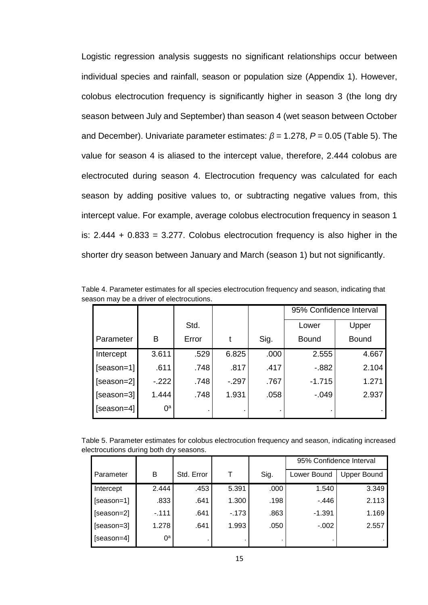Logistic regression analysis suggests no significant relationships occur between individual species and rainfall, season or population size (Appendix 1). However, colobus electrocution frequency is significantly higher in season 3 (the long dry season between July and September) than season 4 (wet season between October and December). Univariate parameter estimates: *β* = 1.278, *P* = 0.05 (Table 5). The value for season 4 is aliased to the intercept value, therefore, 2.444 colobus are electrocuted during season 4. Electrocution frequency was calculated for each season by adding positive values to, or subtracting negative values from, this intercept value. For example, average colobus electrocution frequency in season 1 is:  $2.444 + 0.833 = 3.277$ . Colobus electrocution frequency is also higher in the shorter dry season between January and March (season 1) but not significantly.

|              |        |       |        |      | 95% Confidence Interval |              |
|--------------|--------|-------|--------|------|-------------------------|--------------|
|              |        | Std.  |        |      | Lower                   | Upper        |
| Parameter    | B      | Error |        | Sig. | <b>Bound</b>            | <b>Bound</b> |
| Intercept    | 3.611  | .529  | 6.825  | .000 | 2.555                   | 4.667        |
| $[season=1]$ | .611   | .748  | .817   | .417 | $-0.882$                | 2.104        |
| $[season=2]$ | $-222$ | .748  | $-297$ | .767 | $-1.715$                | 1.271        |
| [season=3]   | 1.444  | .748  | 1.931  | .058 | $-0.049$                | 2.937        |
| $[season=4]$ | ∩ª     |       |        |      |                         |              |

Table 4. Parameter estimates for all species electrocution frequency and season, indicating that season may be a driver of electrocutions.

Table 5. Parameter estimates for colobus electrocution frequency and season, indicating increased electrocutions during both dry seasons.

|            |                |            |        |      | 95% Confidence Interval |             |
|------------|----------------|------------|--------|------|-------------------------|-------------|
| Parameter  | Β              | Std. Error |        | Sig. | Lower Bound             | Upper Bound |
| Intercept  | 2.444          | .453       | 5.391  | .000 | 1.540                   | 3.349       |
| [season=1] | .833           | .641       | 1.300  | .198 | - 446                   | 2.113       |
| [season=2] | $-111$         | .641       | $-173$ | .863 | $-1.391$                | 1.169       |
| [season=3] | 1.278          | .641       | 1.993  | .050 | $-0.002$                | 2.557       |
| [season=4] | 0 <sup>a</sup> |            |        |      |                         |             |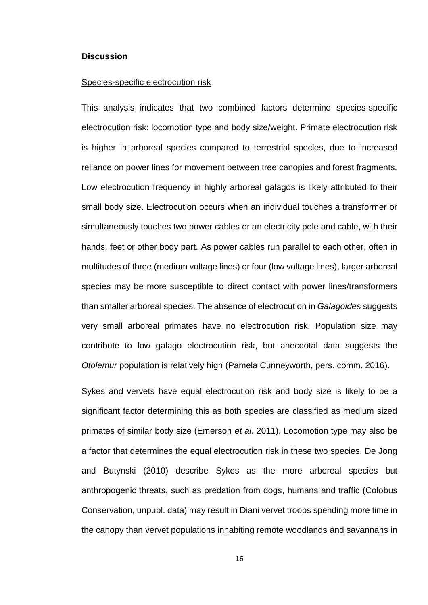#### **Discussion**

#### Species-specific electrocution risk

This analysis indicates that two combined factors determine species-specific electrocution risk: locomotion type and body size/weight. Primate electrocution risk is higher in arboreal species compared to terrestrial species, due to increased reliance on power lines for movement between tree canopies and forest fragments. Low electrocution frequency in highly arboreal galagos is likely attributed to their small body size. Electrocution occurs when an individual touches a transformer or simultaneously touches two power cables or an electricity pole and cable, with their hands, feet or other body part. As power cables run parallel to each other, often in multitudes of three (medium voltage lines) or four (low voltage lines), larger arboreal species may be more susceptible to direct contact with power lines/transformers than smaller arboreal species. The absence of electrocution in *Galagoides* suggests very small arboreal primates have no electrocution risk. Population size may contribute to low galago electrocution risk, but anecdotal data suggests the *Otolemur* population is relatively high (Pamela Cunneyworth, pers. comm. 2016).

Sykes and vervets have equal electrocution risk and body size is likely to be a significant factor determining this as both species are classified as medium sized primates of similar body size (Emerson *et al.* 2011). Locomotion type may also be a factor that determines the equal electrocution risk in these two species. De Jong and Butynski (2010) describe Sykes as the more arboreal species but anthropogenic threats, such as predation from dogs, humans and traffic (Colobus Conservation, unpubl. data) may result in Diani vervet troops spending more time in the canopy than vervet populations inhabiting remote woodlands and savannahs in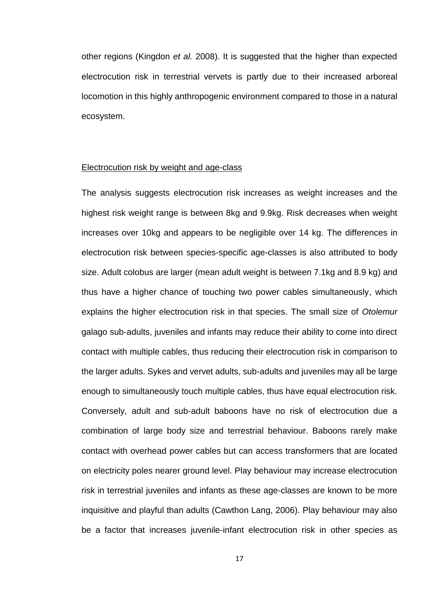other regions (Kingdon *et al.* 2008). It is suggested that the higher than expected electrocution risk in terrestrial vervets is partly due to their increased arboreal locomotion in this highly anthropogenic environment compared to those in a natural ecosystem.

#### Electrocution risk by weight and age-class

The analysis suggests electrocution risk increases as weight increases and the highest risk weight range is between 8kg and 9.9kg. Risk decreases when weight increases over 10kg and appears to be negligible over 14 kg. The differences in electrocution risk between species-specific age-classes is also attributed to body size. Adult colobus are larger (mean adult weight is between 7.1kg and 8.9 kg) and thus have a higher chance of touching two power cables simultaneously, which explains the higher electrocution risk in that species. The small size of *Otolemur* galago sub-adults, juveniles and infants may reduce their ability to come into direct contact with multiple cables, thus reducing their electrocution risk in comparison to the larger adults. Sykes and vervet adults, sub-adults and juveniles may all be large enough to simultaneously touch multiple cables, thus have equal electrocution risk. Conversely, adult and sub-adult baboons have no risk of electrocution due a combination of large body size and terrestrial behaviour. Baboons rarely make contact with overhead power cables but can access transformers that are located on electricity poles nearer ground level. Play behaviour may increase electrocution risk in terrestrial juveniles and infants as these age-classes are known to be more inquisitive and playful than adults (Cawthon Lang, 2006). Play behaviour may also be a factor that increases juvenile-infant electrocution risk in other species as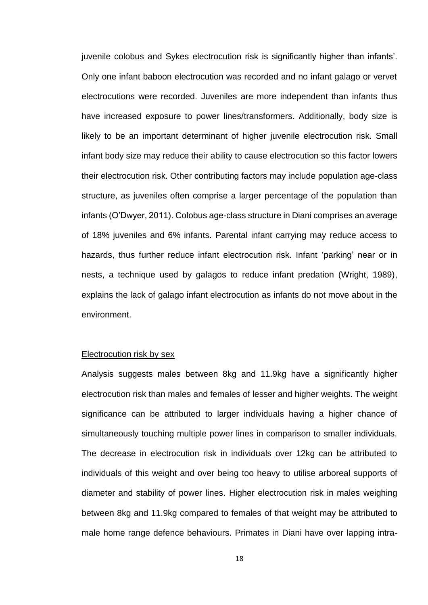juvenile colobus and Sykes electrocution risk is significantly higher than infants'. Only one infant baboon electrocution was recorded and no infant galago or vervet electrocutions were recorded. Juveniles are more independent than infants thus have increased exposure to power lines/transformers. Additionally, body size is likely to be an important determinant of higher juvenile electrocution risk. Small infant body size may reduce their ability to cause electrocution so this factor lowers their electrocution risk. Other contributing factors may include population age-class structure, as juveniles often comprise a larger percentage of the population than infants (O'Dwyer, 2011). Colobus age-class structure in Diani comprises an average of 18% juveniles and 6% infants. Parental infant carrying may reduce access to hazards, thus further reduce infant electrocution risk. Infant 'parking' near or in nests, a technique used by galagos to reduce infant predation (Wright, 1989), explains the lack of galago infant electrocution as infants do not move about in the environment.

#### Electrocution risk by sex

Analysis suggests males between 8kg and 11.9kg have a significantly higher electrocution risk than males and females of lesser and higher weights. The weight significance can be attributed to larger individuals having a higher chance of simultaneously touching multiple power lines in comparison to smaller individuals. The decrease in electrocution risk in individuals over 12kg can be attributed to individuals of this weight and over being too heavy to utilise arboreal supports of diameter and stability of power lines. Higher electrocution risk in males weighing between 8kg and 11.9kg compared to females of that weight may be attributed to male home range defence behaviours. Primates in Diani have over lapping intra-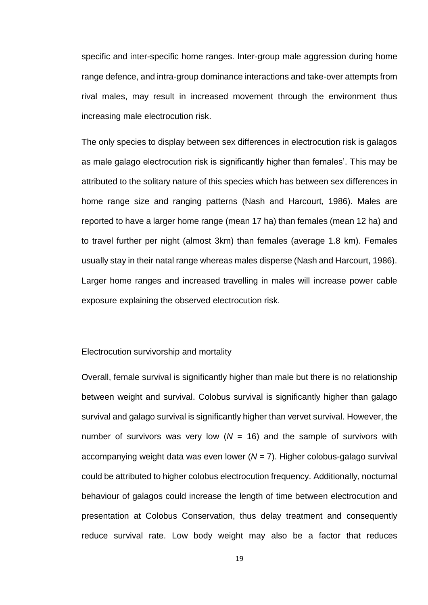specific and inter-specific home ranges. Inter-group male aggression during home range defence, and intra-group dominance interactions and take-over attempts from rival males, may result in increased movement through the environment thus increasing male electrocution risk.

The only species to display between sex differences in electrocution risk is galagos as male galago electrocution risk is significantly higher than females'. This may be attributed to the solitary nature of this species which has between sex differences in home range size and ranging patterns (Nash and Harcourt, 1986). Males are reported to have a larger home range (mean 17 ha) than females (mean 12 ha) and to travel further per night (almost 3km) than females (average 1.8 km). Females usually stay in their natal range whereas males disperse (Nash and Harcourt, 1986). Larger home ranges and increased travelling in males will increase power cable exposure explaining the observed electrocution risk.

## Electrocution survivorship and mortality

Overall, female survival is significantly higher than male but there is no relationship between weight and survival. Colobus survival is significantly higher than galago survival and galago survival is significantly higher than vervet survival. However, the number of survivors was very low  $(N = 16)$  and the sample of survivors with accompanying weight data was even lower (*N* = 7). Higher colobus-galago survival could be attributed to higher colobus electrocution frequency. Additionally, nocturnal behaviour of galagos could increase the length of time between electrocution and presentation at Colobus Conservation, thus delay treatment and consequently reduce survival rate. Low body weight may also be a factor that reduces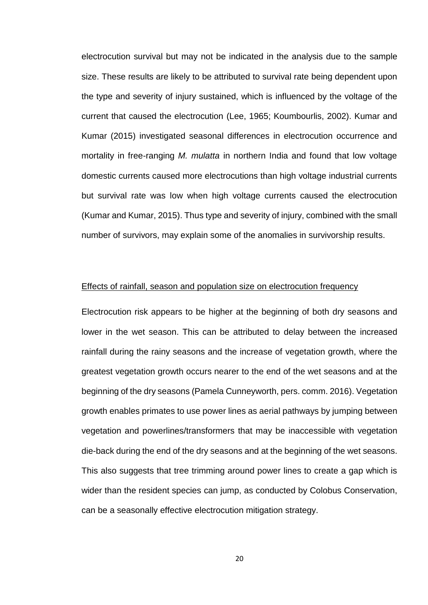electrocution survival but may not be indicated in the analysis due to the sample size. These results are likely to be attributed to survival rate being dependent upon the type and severity of injury sustained, which is influenced by the voltage of the current that caused the electrocution (Lee, 1965; Koumbourlis, 2002). Kumar and Kumar (2015) investigated seasonal differences in electrocution occurrence and mortality in free-ranging *M. mulatta* in northern India and found that low voltage domestic currents caused more electrocutions than high voltage industrial currents but survival rate was low when high voltage currents caused the electrocution (Kumar and Kumar, 2015). Thus type and severity of injury, combined with the small number of survivors, may explain some of the anomalies in survivorship results.

#### Effects of rainfall, season and population size on electrocution frequency

Electrocution risk appears to be higher at the beginning of both dry seasons and lower in the wet season. This can be attributed to delay between the increased rainfall during the rainy seasons and the increase of vegetation growth, where the greatest vegetation growth occurs nearer to the end of the wet seasons and at the beginning of the dry seasons (Pamela Cunneyworth, pers. comm. 2016). Vegetation growth enables primates to use power lines as aerial pathways by jumping between vegetation and powerlines/transformers that may be inaccessible with vegetation die-back during the end of the dry seasons and at the beginning of the wet seasons. This also suggests that tree trimming around power lines to create a gap which is wider than the resident species can jump, as conducted by Colobus Conservation, can be a seasonally effective electrocution mitigation strategy.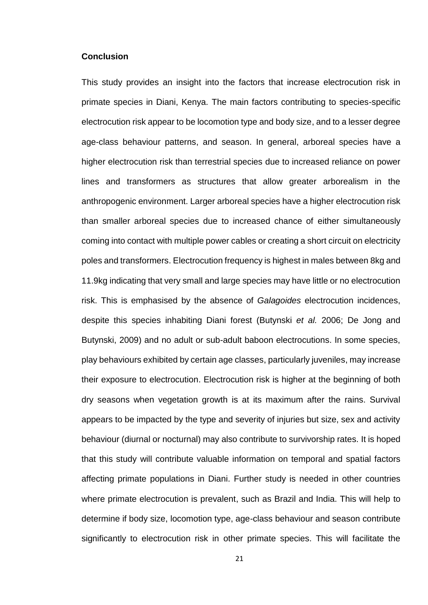#### **Conclusion**

This study provides an insight into the factors that increase electrocution risk in primate species in Diani, Kenya. The main factors contributing to species-specific electrocution risk appear to be locomotion type and body size, and to a lesser degree age-class behaviour patterns, and season. In general, arboreal species have a higher electrocution risk than terrestrial species due to increased reliance on power lines and transformers as structures that allow greater arborealism in the anthropogenic environment. Larger arboreal species have a higher electrocution risk than smaller arboreal species due to increased chance of either simultaneously coming into contact with multiple power cables or creating a short circuit on electricity poles and transformers. Electrocution frequency is highest in males between 8kg and 11.9kg indicating that very small and large species may have little or no electrocution risk. This is emphasised by the absence of *Galagoides* electrocution incidences, despite this species inhabiting Diani forest (Butynski *et al.* 2006; De Jong and Butynski, 2009) and no adult or sub-adult baboon electrocutions. In some species, play behaviours exhibited by certain age classes, particularly juveniles, may increase their exposure to electrocution. Electrocution risk is higher at the beginning of both dry seasons when vegetation growth is at its maximum after the rains. Survival appears to be impacted by the type and severity of injuries but size, sex and activity behaviour (diurnal or nocturnal) may also contribute to survivorship rates. It is hoped that this study will contribute valuable information on temporal and spatial factors affecting primate populations in Diani. Further study is needed in other countries where primate electrocution is prevalent, such as Brazil and India. This will help to determine if body size, locomotion type, age-class behaviour and season contribute significantly to electrocution risk in other primate species. This will facilitate the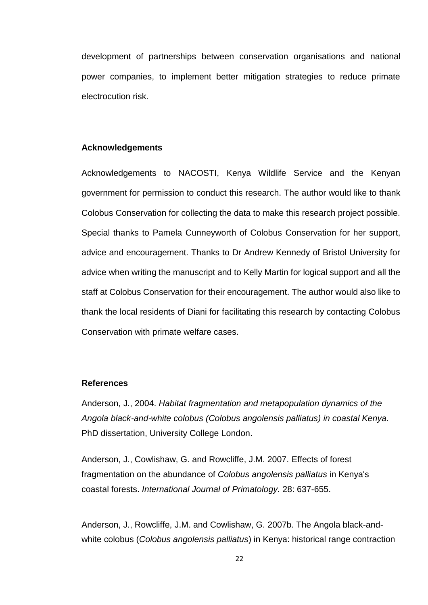development of partnerships between conservation organisations and national power companies, to implement better mitigation strategies to reduce primate electrocution risk.

## **Acknowledgements**

Acknowledgements to NACOSTI, Kenya Wildlife Service and the Kenyan government for permission to conduct this research. The author would like to thank Colobus Conservation for collecting the data to make this research project possible. Special thanks to Pamela Cunneyworth of Colobus Conservation for her support, advice and encouragement. Thanks to Dr Andrew Kennedy of Bristol University for advice when writing the manuscript and to Kelly Martin for logical support and all the staff at Colobus Conservation for their encouragement. The author would also like to thank the local residents of Diani for facilitating this research by contacting Colobus Conservation with primate welfare cases.

## **References**

Anderson, J., 2004. *Habitat fragmentation and metapopulation dynamics of the Angola black-and-white colobus (Colobus angolensis palliatus) in coastal Kenya.* PhD dissertation, University College London.

Anderson, J., Cowlishaw, G. and Rowcliffe, J.M. 2007. [Effects](http://www.colobusconservation.org/images/reports_publications/Kenya/Anderson_2007_forest%20fragmentation.pdf) of forest [fragmentation](http://www.colobusconservation.org/images/reports_publications/Kenya/Anderson_2007_forest%20fragmentation.pdf) on the abundance of *Colobus angolensis palliatus* in Kenya's coastal [forests.](http://www.colobusconservation.org/images/reports_publications/Kenya/Anderson_2007_forest%20fragmentation.pdf) *International Journal of Primatology.* 28: 637-655.

Anderson, J., Rowcliffe, J.M. and Cowlishaw, G. 2007b. The Angola black-andwhite colobus (*Colobus angolensis palliatus*) in Kenya: historical range contraction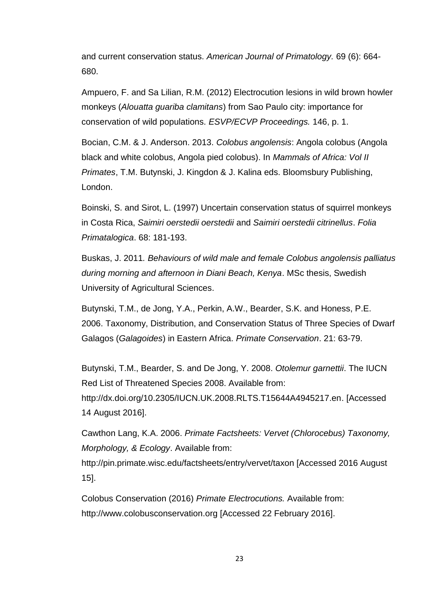and current conservation status. *American Journal of Primatology.* 69 (6): 664- 680.

Ampuero, F. and Sa Lilian, R.M. (2012) Electrocution lesions in wild brown howler monkeys (*Alouatta guariba clamitans*) from Sao Paulo city: importance for conservation of wild populations. *ESVP/ECVP Proceedings.* 146, p. 1.

Bocian, C.M. & J. Anderson. 2013. *Colobus angolensis*: Angola colobus (Angola black and white colobus, Angola pied colobus). In *Mammals of Africa: Vol II Primates*, T.M. Butynski, J. Kingdon & J. Kalina eds. Bloomsbury Publishing, London.

Boinski, S. and Sirot, L. (1997) Uncertain conservation status of squirrel monkeys in Costa Rica, *Saimiri oerstedii oerstedii* and *Saimiri oerstedii citrinellus*. *Folia Primatalogica*. 68: 181-193.

Buskas, J. 2011*. Behaviours of wild male and female Colobus angolensis palliatus during morning and afternoon in Diani Beach, Kenya*. MSc thesis, Swedish University of Agricultural Sciences.

Butynski, T.M., de Jong, Y.A., Perkin, A.W., Bearder, S.K. and Honess, P.E. 2006. Taxonomy, Distribution, and Conservation Status of Three Species of Dwarf Galagos (*Galagoides*) in Eastern Africa. *Primate Conservation*. 21: 63-79.

Butynski, T.M., Bearder, S. and De Jong, Y. 2008. *Otolemur garnettii*. The IUCN Red List of Threatened Species 2008. Available from: [http://dx.doi.org/10.2305/IUCN.UK.2008.RLTS.T15644A4945217.en.](http://dx.doi.org/10.2305/IUCN.UK.2008.RLTS.T15644A4945217.en) [Accessed 14 August 2016].

Cawthon Lang, K.A. 2006. *Primate Factsheets: Vervet (Chlorocebus) Taxonomy, Morphology, & Ecology*. Available from:

http://pin.primate.wisc.edu/factsheets/entry/vervet/taxon [Accessed 2016 August 15].

Colobus Conservation (2016) *Primate Electrocutions.* Available from: http://www.colobusconservation.org [Accessed 22 February 2016].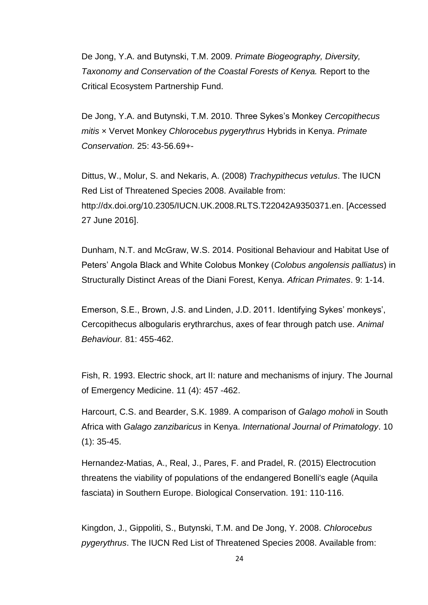De Jong, Y.A. and Butynski, T.M. 2009. *Primate Biogeography, Diversity, Taxonomy and Conservation of the Coastal Forests of Kenya.* Report to the Critical Ecosystem Partnership Fund.

De Jong, Y.A. and Butynski, T.M. 2010. Three Sykes's Monkey *Cercopithecus mitis* × Vervet Monkey *Chlorocebus pygerythrus* Hybrids in Kenya. *Primate Conservation.* 25: 43-56.69+-

Dittus, W., Molur, S. and Nekaris, A. (2008) *Trachypithecus vetulus*. The IUCN Red List of Threatened Species 2008. Available from: [http://dx.doi.org/10.2305/IUCN.UK.2008.RLTS.T22042A9350371.en.](http://dx.doi.org/10.2305/IUCN.UK.2008.RLTS.T22042A9350371.en) [Accessed 27 June 2016].

Dunham, N.T. and McGraw, W.S. 2014. Positional Behaviour and Habitat Use of Peters' Angola Black and White Colobus Monkey (*Colobus angolensis palliatus*) in Structurally Distinct Areas of the Diani Forest, Kenya. *African Primates*. 9: 1-14.

Emerson, S.E., Brown, J.S. and Linden, J.D. 2011. Identifying Sykes' monkeys', Cercopithecus albogularis erythrarchus, axes of fear through patch use. *Animal Behaviour.* 81: 455-462.

Fish, R. 1993. Electric shock, art II: nature and mechanisms of injury. The Journal of Emergency Medicine. 11 (4): 457 -462.

Harcourt, C.S. and Bearder, S.K. 1989. A comparison of *Galago moholi* in South Africa with *Galago zanzibaricus* in Kenya. *International Journal of Primatology*. 10 (1): 35-45.

Hernandez-Matias, A., Real, J., Pares, F. and Pradel, R. (2015) Electrocution threatens the viability of populations of the endangered Bonelli's eagle (Aquila fasciata) in Southern Europe. Biological Conservation. 191: 110-116.

Kingdon, J., Gippoliti, S., Butynski, T.M. and De Jong, Y. 2008. *Chlorocebus pygerythrus*. The IUCN Red List of Threatened Species 2008. Available from: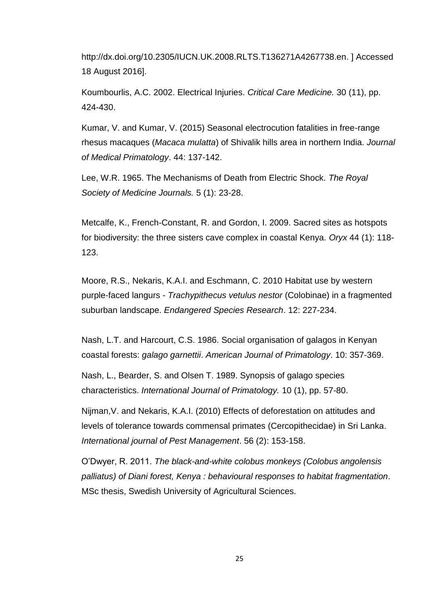[http://dx.doi.org/10.2305/IUCN.UK.2008.RLTS.T136271A4267738.en.](http://dx.doi.org/10.2305/IUCN.UK.2008.RLTS.T136271A4267738.en) ] Accessed 18 August 2016].

Koumbourlis, A.C. 2002. Electrical Injuries. *Critical Care Medicine.* 30 (11), pp. 424-430.

Kumar, V. and Kumar, V. (2015) Seasonal electrocution fatalities in free-range rhesus macaques (*Macaca mulatta*) of Shivalik hills area in northern India. *Journal of Medical Primatology*. 44: 137-142.

Lee, W.R. 1965. The Mechanisms of Death from Electric Shock. *The Royal Society of Medicine Journals.* 5 (1): 23-28.

Metcalfe, K., French-Constant, R. and Gordon, I. 2009. Sacred sites as hotspots for biodiversity: the three sisters cave complex in coastal Kenya. *Oryx* 44 (1): 118- 123.

Moore, R.S., Nekaris, K.A.I. and Eschmann, C. 2010 Habitat use by western purple-faced langurs - *Trachypithecus vetulus nestor* (Colobinae) in a fragmented suburban landscape. *Endangered Species Research*. 12: 227-234.

Nash, L.T. and Harcourt, C.S. 1986. Social organisation of galagos in Kenyan coastal forests: *galago garnettii*. *American Journal of Primatology*. 10: 357-369.

Nash, L., Bearder, S. and Olsen T. 1989. Synopsis of galago species characteristics. *International Journal of Primatology.* 10 (1), pp. 57-80.

Nijman,V. and Nekaris, K.A.I. (2010) Effects of deforestation on attitudes and levels of tolerance towards commensal primates (Cercopithecidae) in Sri Lanka. *International journal of Pest Management*. 56 (2): 153-158.

O'Dwyer, R. 2011. *The black-and-white colobus monkeys (Colobus angolensis palliatus) of Diani forest, Kenya : behavioural responses to habitat fragmentation*. MSc thesis, Swedish University of Agricultural Sciences.